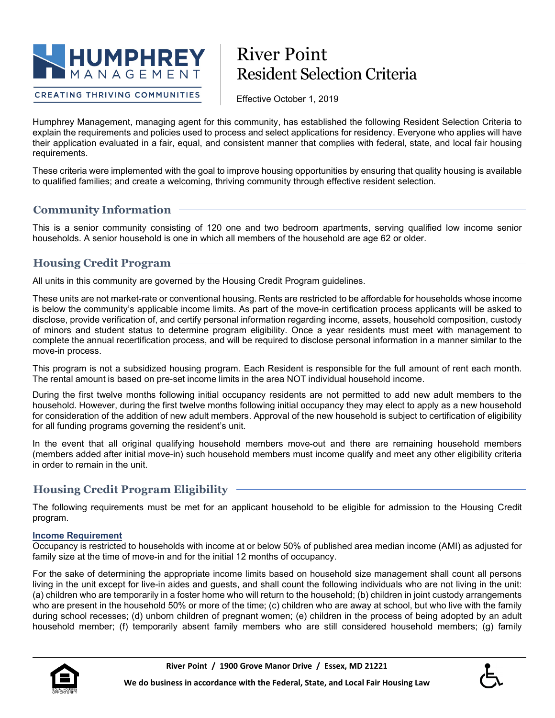

# River Point Resident Selection Criteria

**CREATING THRIVING COMMUNITIES** 

Effective October 1, 2019

Humphrey Management, managing agent for this community, has established the following Resident Selection Criteria to explain the requirements and policies used to process and select applications for residency. Everyone who applies will have their application evaluated in a fair, equal, and consistent manner that complies with federal, state, and local fair housing requirements.

These criteria were implemented with the goal to improve housing opportunities by ensuring that quality housing is available to qualified families; and create a welcoming, thriving community through effective resident selection.

# **Community Information**

This is a senior community consisting of 120 one and two bedroom apartments, serving qualified low income senior households. A senior household is one in which all members of the household are age 62 or older.

# **Housing Credit Program**

All units in this community are governed by the Housing Credit Program guidelines.

These units are not market-rate or conventional housing. Rents are restricted to be affordable for households whose income is below the community's applicable income limits. As part of the move-in certification process applicants will be asked to disclose, provide verification of, and certify personal information regarding income, assets, household composition, custody of minors and student status to determine program eligibility. Once a year residents must meet with management to complete the annual recertification process, and will be required to disclose personal information in a manner similar to the move-in process.

This program is not a subsidized housing program. Each Resident is responsible for the full amount of rent each month. The rental amount is based on pre-set income limits in the area NOT individual household income.

During the first twelve months following initial occupancy residents are not permitted to add new adult members to the household. However, during the first twelve months following initial occupancy they may elect to apply as a new household for consideration of the addition of new adult members. Approval of the new household is subject to certification of eligibility for all funding programs governing the resident's unit.

In the event that all original qualifying household members move-out and there are remaining household members (members added after initial move-in) such household members must income qualify and meet any other eligibility criteria in order to remain in the unit.

# **Housing Credit Program Eligibility**

The following requirements must be met for an applicant household to be eligible for admission to the Housing Credit program.

## **Income Requirement**

Occupancy is restricted to households with income at or below 50% of published area median income (AMI) as adjusted for family size at the time of move-in and for the initial 12 months of occupancy.

For the sake of determining the appropriate income limits based on household size management shall count all persons living in the unit except for live-in aides and guests, and shall count the following individuals who are not living in the unit: (a) children who are temporarily in a foster home who will return to the household; (b) children in joint custody arrangements who are present in the household 50% or more of the time; (c) children who are away at school, but who live with the family during school recesses; (d) unborn children of pregnant women; (e) children in the process of being adopted by an adult household member; (f) temporarily absent family members who are still considered household members; (g) family

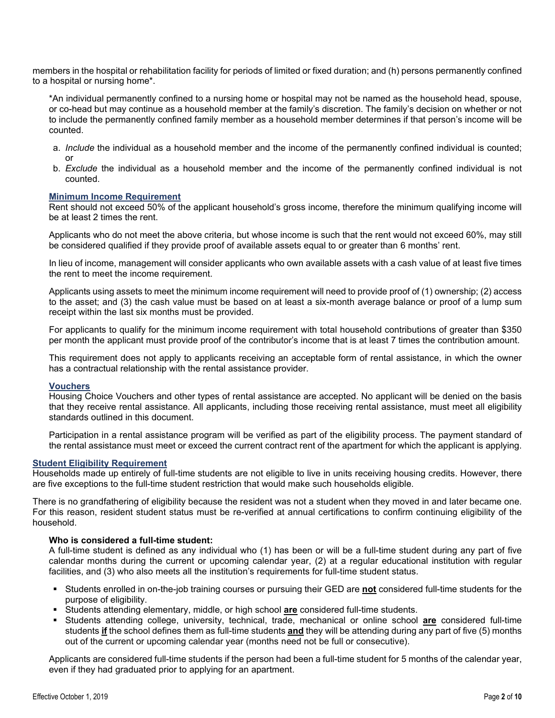members in the hospital or rehabilitation facility for periods of limited or fixed duration; and (h) persons permanently confined to a hospital or nursing home\*.

\*An individual permanently confined to a nursing home or hospital may not be named as the household head, spouse, or co-head but may continue as a household member at the family's discretion. The family's decision on whether or not to include the permanently confined family member as a household member determines if that person's income will be counted.

- a. *Include* the individual as a household member and the income of the permanently confined individual is counted; or
- b. *Exclude* the individual as a household member and the income of the permanently confined individual is not counted.

#### **Minimum Income Requirement**

Rent should not exceed 50% of the applicant household's gross income, therefore the minimum qualifying income will be at least 2 times the rent.

Applicants who do not meet the above criteria, but whose income is such that the rent would not exceed 60%, may still be considered qualified if they provide proof of available assets equal to or greater than 6 months' rent.

In lieu of income, management will consider applicants who own available assets with a cash value of at least five times the rent to meet the income requirement.

Applicants using assets to meet the minimum income requirement will need to provide proof of (1) ownership; (2) access to the asset; and (3) the cash value must be based on at least a six-month average balance or proof of a lump sum receipt within the last six months must be provided.

For applicants to qualify for the minimum income requirement with total household contributions of greater than \$350 per month the applicant must provide proof of the contributor's income that is at least 7 times the contribution amount.

This requirement does not apply to applicants receiving an acceptable form of rental assistance, in which the owner has a contractual relationship with the rental assistance provider.

#### **Vouchers**

Housing Choice Vouchers and other types of rental assistance are accepted. No applicant will be denied on the basis that they receive rental assistance. All applicants, including those receiving rental assistance, must meet all eligibility standards outlined in this document.

Participation in a rental assistance program will be verified as part of the eligibility process. The payment standard of the rental assistance must meet or exceed the current contract rent of the apartment for which the applicant is applying.

#### **Student Eligibility Requirement**

Households made up entirely of full-time students are not eligible to live in units receiving housing credits. However, there are five exceptions to the full-time student restriction that would make such households eligible.

There is no grandfathering of eligibility because the resident was not a student when they moved in and later became one. For this reason, resident student status must be re-verified at annual certifications to confirm continuing eligibility of the household.

#### **Who is considered a full-time student:**

A full-time student is defined as any individual who (1) has been or will be a full-time student during any part of five calendar months during the current or upcoming calendar year, (2) at a regular educational institution with regular facilities, and (3) who also meets all the institution's requirements for full-time student status.

- Students enrolled in on-the-job training courses or pursuing their GED are **not** considered full-time students for the purpose of eligibility.
- Students attending elementary, middle, or high school **are** considered full-time students.
- Students attending college, university, technical, trade, mechanical or online school **are** considered full-time students **if** the school defines them as full-time students **and** they will be attending during any part of five (5) months out of the current or upcoming calendar year (months need not be full or consecutive).

Applicants are considered full-time students if the person had been a full-time student for 5 months of the calendar year, even if they had graduated prior to applying for an apartment.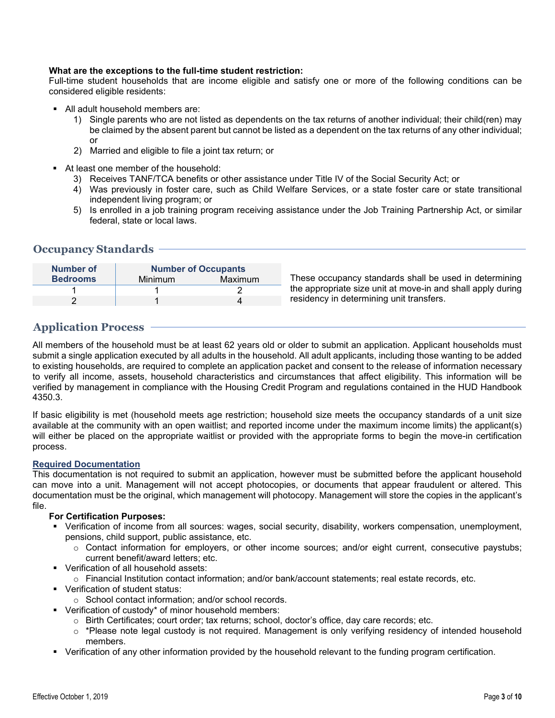#### **What are the exceptions to the full-time student restriction:**

Full-time student households that are income eligible and satisfy one or more of the following conditions can be considered eligible residents:

- All adult household members are:
	- 1) Single parents who are not listed as dependents on the tax returns of another individual; their child(ren) may be claimed by the absent parent but cannot be listed as a dependent on the tax returns of any other individual; or
	- 2) Married and eligible to file a joint tax return; or
- At least one member of the household:
	- 3) Receives TANF/TCA benefits or other assistance under Title IV of the Social Security Act; or
	- 4) Was previously in foster care, such as Child Welfare Services, or a state foster care or state transitional independent living program; or
	- 5) Is enrolled in a job training program receiving assistance under the Job Training Partnership Act, or similar federal, state or local laws.

## **Occupancy Standards**

| Number of       | <b>Number of Occupants</b> |         |
|-----------------|----------------------------|---------|
| <b>Bedrooms</b> | Minimum                    | Maximum |
|                 |                            |         |
|                 |                            |         |

These occupancy standards shall be used in determining the appropriate size unit at move-in and shall apply during residency in determining unit transfers.

# **Application Process**

All members of the household must be at least 62 years old or older to submit an application. Applicant households must submit a single application executed by all adults in the household. All adult applicants, including those wanting to be added to existing households, are required to complete an application packet and consent to the release of information necessary to verify all income, assets, household characteristics and circumstances that affect eligibility. This information will be verified by management in compliance with the Housing Credit Program and regulations contained in the HUD Handbook 4350.3.

If basic eligibility is met (household meets age restriction; household size meets the occupancy standards of a unit size available at the community with an open waitlist; and reported income under the maximum income limits) the applicant(s) will either be placed on the appropriate waitlist or provided with the appropriate forms to begin the move-in certification process.

#### **Required Documentation**

This documentation is not required to submit an application, however must be submitted before the applicant household can move into a unit. Management will not accept photocopies, or documents that appear fraudulent or altered. This documentation must be the original, which management will photocopy. Management will store the copies in the applicant's file.

#### **For Certification Purposes:**

- Verification of income from all sources: wages, social security, disability, workers compensation, unemployment, pensions, child support, public assistance, etc.
	- o Contact information for employers, or other income sources; and/or eight current, consecutive paystubs; current benefit/award letters; etc.
- **Verification of all household assets:** 
	- o Financial Institution contact information; and/or bank/account statements; real estate records, etc.
- **Verification of student status:** 
	- o School contact information; and/or school records.
- Verification of custody\* of minor household members:
	- o Birth Certificates; court order; tax returns; school, doctor's office, day care records; etc.
	- $\circ$  \*Please note legal custody is not required. Management is only verifying residency of intended household members.
- Verification of any other information provided by the household relevant to the funding program certification.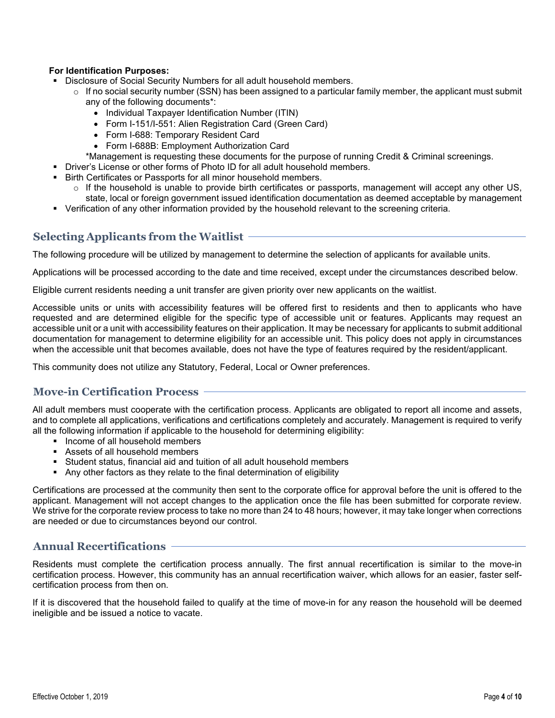## **For Identification Purposes:**

- Disclosure of Social Security Numbers for all adult household members.
	- $\circ$  If no social security number (SSN) has been assigned to a particular family member, the applicant must submit any of the following documents\*:
		- Individual Taxpayer Identification Number (ITIN)
		- Form I-151/I-551: Alien Registration Card (Green Card)
		- Form I-688: Temporary Resident Card
		- Form I-688B: Employment Authorization Card
		- \*Management is requesting these documents for the purpose of running Credit & Criminal screenings.
- Driver's License or other forms of Photo ID for all adult household members.
- Birth Certificates or Passports for all minor household members.
	- $\circ$  If the household is unable to provide birth certificates or passports, management will accept any other US, state, local or foreign government issued identification documentation as deemed acceptable by management
- Verification of any other information provided by the household relevant to the screening criteria.

## **Selecting Applicants from the Waitlist**

The following procedure will be utilized by management to determine the selection of applicants for available units.

Applications will be processed according to the date and time received, except under the circumstances described below.

Eligible current residents needing a unit transfer are given priority over new applicants on the waitlist.

Accessible units or units with accessibility features will be offered first to residents and then to applicants who have requested and are determined eligible for the specific type of accessible unit or features. Applicants may request an accessible unit or a unit with accessibility features on their application. It may be necessary for applicants to submit additional documentation for management to determine eligibility for an accessible unit. This policy does not apply in circumstances when the accessible unit that becomes available, does not have the type of features required by the resident/applicant.

This community does not utilize any Statutory, Federal, Local or Owner preferences.

## **Move-in Certification Process**

All adult members must cooperate with the certification process. Applicants are obligated to report all income and assets, and to complete all applications, verifications and certifications completely and accurately. Management is required to verify all the following information if applicable to the household for determining eligibility:

- $\blacksquare$  Income of all household members
- Assets of all household members
- Student status, financial aid and tuition of all adult household members
- Any other factors as they relate to the final determination of eligibility

Certifications are processed at the community then sent to the corporate office for approval before the unit is offered to the applicant. Management will not accept changes to the application once the file has been submitted for corporate review. We strive for the corporate review process to take no more than 24 to 48 hours; however, it may take longer when corrections are needed or due to circumstances beyond our control.

# **Annual Recertifications**

Residents must complete the certification process annually. The first annual recertification is similar to the move-in certification process. However, this community has an annual recertification waiver, which allows for an easier, faster selfcertification process from then on.

If it is discovered that the household failed to qualify at the time of move-in for any reason the household will be deemed ineligible and be issued a notice to vacate.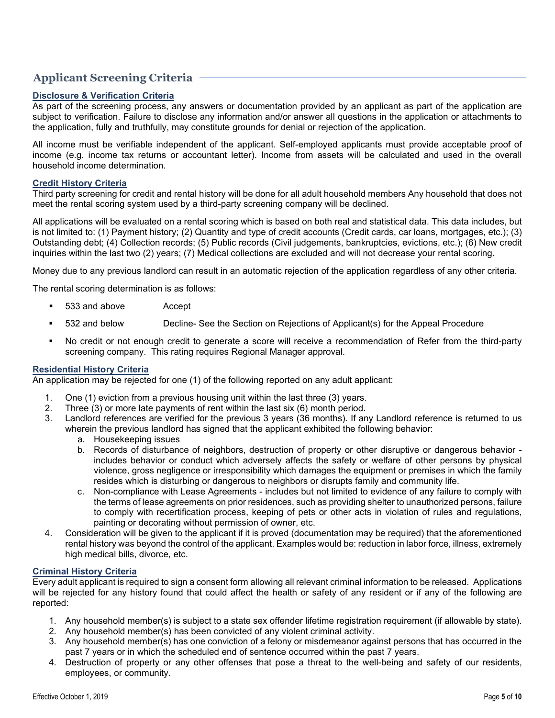# **Applicant Screening Criteria**

## **Disclosure & Verification Criteria**

As part of the screening process, any answers or documentation provided by an applicant as part of the application are subject to verification. Failure to disclose any information and/or answer all questions in the application or attachments to the application, fully and truthfully, may constitute grounds for denial or rejection of the application.

All income must be verifiable independent of the applicant. Self-employed applicants must provide acceptable proof of income (e.g. income tax returns or accountant letter). Income from assets will be calculated and used in the overall household income determination.

#### **Credit History Criteria**

Third party screening for credit and rental history will be done for all adult household members Any household that does not meet the rental scoring system used by a third-party screening company will be declined.

All applications will be evaluated on a rental scoring which is based on both real and statistical data. This data includes, but is not limited to: (1) Payment history; (2) Quantity and type of credit accounts (Credit cards, car loans, mortgages, etc.); (3) Outstanding debt; (4) Collection records; (5) Public records (Civil judgements, bankruptcies, evictions, etc.); (6) New credit inquiries within the last two (2) years; (7) Medical collections are excluded and will not decrease your rental scoring.

Money due to any previous landlord can result in an automatic rejection of the application regardless of any other criteria.

The rental scoring determination is as follows:

- 533 and above Accept
- 532 and below Decline- See the Section on Rejections of Applicant(s) for the Appeal Procedure
- No credit or not enough credit to generate a score will receive a recommendation of Refer from the third-party screening company. This rating requires Regional Manager approval.

#### **Residential History Criteria**

An application may be rejected for one (1) of the following reported on any adult applicant:

- 1. One (1) eviction from a previous housing unit within the last three (3) years.
- 2. Three (3) or more late payments of rent within the last six (6) month period.
- 3. Landlord references are verified for the previous 3 years (36 months). If any Landlord reference is returned to us wherein the previous landlord has signed that the applicant exhibited the following behavior:
	- a. Housekeeping issues
	- b. Records of disturbance of neighbors, destruction of property or other disruptive or dangerous behavior includes behavior or conduct which adversely affects the safety or welfare of other persons by physical violence, gross negligence or irresponsibility which damages the equipment or premises in which the family resides which is disturbing or dangerous to neighbors or disrupts family and community life.
	- c. Non-compliance with Lease Agreements includes but not limited to evidence of any failure to comply with the terms of lease agreements on prior residences, such as providing shelter to unauthorized persons, failure to comply with recertification process, keeping of pets or other acts in violation of rules and regulations, painting or decorating without permission of owner, etc.
- 4. Consideration will be given to the applicant if it is proved (documentation may be required) that the aforementioned rental history was beyond the control of the applicant. Examples would be: reduction in labor force, illness, extremely high medical bills, divorce, etc.

#### **Criminal History Criteria**

Every adult applicant is required to sign a consent form allowing all relevant criminal information to be released. Applications will be rejected for any history found that could affect the health or safety of any resident or if any of the following are reported:

- 1. Any household member(s) is subject to a state sex offender lifetime registration requirement (if allowable by state).
- 2. Any household member(s) has been convicted of any violent criminal activity.
- 3. Any household member(s) has one conviction of a felony or misdemeanor against persons that has occurred in the past 7 years or in which the scheduled end of sentence occurred within the past 7 years.
- 4. Destruction of property or any other offenses that pose a threat to the well-being and safety of our residents, employees, or community.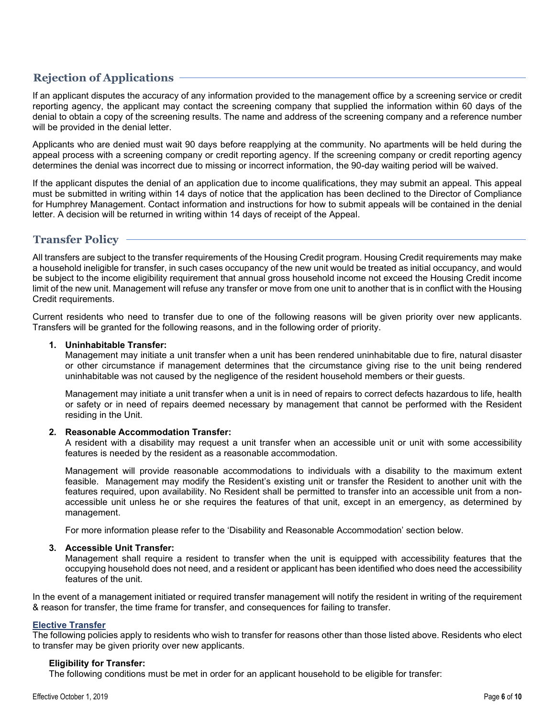# **Rejection of Applications**

If an applicant disputes the accuracy of any information provided to the management office by a screening service or credit reporting agency, the applicant may contact the screening company that supplied the information within 60 days of the denial to obtain a copy of the screening results. The name and address of the screening company and a reference number will be provided in the denial letter.

Applicants who are denied must wait 90 days before reapplying at the community. No apartments will be held during the appeal process with a screening company or credit reporting agency. If the screening company or credit reporting agency determines the denial was incorrect due to missing or incorrect information, the 90-day waiting period will be waived.

If the applicant disputes the denial of an application due to income qualifications, they may submit an appeal. This appeal must be submitted in writing within 14 days of notice that the application has been declined to the Director of Compliance for Humphrey Management. Contact information and instructions for how to submit appeals will be contained in the denial letter. A decision will be returned in writing within 14 days of receipt of the Appeal.

# **Transfer Policy**

All transfers are subject to the transfer requirements of the Housing Credit program. Housing Credit requirements may make a household ineligible for transfer, in such cases occupancy of the new unit would be treated as initial occupancy, and would be subject to the income eligibility requirement that annual gross household income not exceed the Housing Credit income limit of the new unit. Management will refuse any transfer or move from one unit to another that is in conflict with the Housing Credit requirements.

Current residents who need to transfer due to one of the following reasons will be given priority over new applicants. Transfers will be granted for the following reasons, and in the following order of priority.

#### **1. Uninhabitable Transfer:**

Management may initiate a unit transfer when a unit has been rendered uninhabitable due to fire, natural disaster or other circumstance if management determines that the circumstance giving rise to the unit being rendered uninhabitable was not caused by the negligence of the resident household members or their guests.

Management may initiate a unit transfer when a unit is in need of repairs to correct defects hazardous to life, health or safety or in need of repairs deemed necessary by management that cannot be performed with the Resident residing in the Unit.

#### **2. Reasonable Accommodation Transfer:**

A resident with a disability may request a unit transfer when an accessible unit or unit with some accessibility features is needed by the resident as a reasonable accommodation.

Management will provide reasonable accommodations to individuals with a disability to the maximum extent feasible. Management may modify the Resident's existing unit or transfer the Resident to another unit with the features required, upon availability. No Resident shall be permitted to transfer into an accessible unit from a nonaccessible unit unless he or she requires the features of that unit, except in an emergency, as determined by management.

For more information please refer to the 'Disability and Reasonable Accommodation' section below.

#### **3. Accessible Unit Transfer:**

Management shall require a resident to transfer when the unit is equipped with accessibility features that the occupying household does not need, and a resident or applicant has been identified who does need the accessibility features of the unit.

In the event of a management initiated or required transfer management will notify the resident in writing of the requirement & reason for transfer, the time frame for transfer, and consequences for failing to transfer.

#### **Elective Transfer**

The following policies apply to residents who wish to transfer for reasons other than those listed above. Residents who elect to transfer may be given priority over new applicants.

## **Eligibility for Transfer:**

The following conditions must be met in order for an applicant household to be eligible for transfer: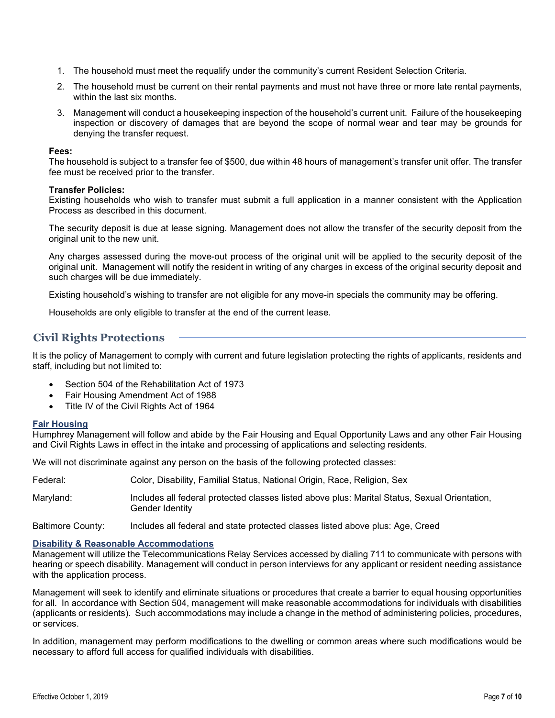- 1. The household must meet the requalify under the community's current Resident Selection Criteria.
- 2. The household must be current on their rental payments and must not have three or more late rental payments, within the last six months.
- 3. Management will conduct a housekeeping inspection of the household's current unit. Failure of the housekeeping inspection or discovery of damages that are beyond the scope of normal wear and tear may be grounds for denying the transfer request.

#### **Fees:**

The household is subject to a transfer fee of \$500, due within 48 hours of management's transfer unit offer. The transfer fee must be received prior to the transfer.

#### **Transfer Policies:**

Existing households who wish to transfer must submit a full application in a manner consistent with the Application Process as described in this document.

The security deposit is due at lease signing. Management does not allow the transfer of the security deposit from the original unit to the new unit.

Any charges assessed during the move-out process of the original unit will be applied to the security deposit of the original unit. Management will notify the resident in writing of any charges in excess of the original security deposit and such charges will be due immediately.

Existing household's wishing to transfer are not eligible for any move-in specials the community may be offering.

Households are only eligible to transfer at the end of the current lease.

# **Civil Rights Protections**

It is the policy of Management to comply with current and future legislation protecting the rights of applicants, residents and staff, including but not limited to:

- Section 504 of the Rehabilitation Act of 1973
- Fair Housing Amendment Act of 1988
- Title IV of the Civil Rights Act of 1964

#### **Fair Housing**

Humphrey Management will follow and abide by the Fair Housing and Equal Opportunity Laws and any other Fair Housing and Civil Rights Laws in effect in the intake and processing of applications and selecting residents.

We will not discriminate against any person on the basis of the following protected classes:

| Federal:  | Color, Disability, Familial Status, National Origin, Race, Religion, Sex                                         |
|-----------|------------------------------------------------------------------------------------------------------------------|
| Maryland: | Includes all federal protected classes listed above plus: Marital Status, Sexual Orientation,<br>Gender Identity |

Baltimore County: Includes all federal and state protected classes listed above plus: Age, Creed

#### **Disability & Reasonable Accommodations**

Management will utilize the Telecommunications Relay Services accessed by dialing 711 to communicate with persons with hearing or speech disability. Management will conduct in person interviews for any applicant or resident needing assistance with the application process.

Management will seek to identify and eliminate situations or procedures that create a barrier to equal housing opportunities for all. In accordance with Section 504, management will make reasonable accommodations for individuals with disabilities (applicants or residents). Such accommodations may include a change in the method of administering policies, procedures, or services.

In addition, management may perform modifications to the dwelling or common areas where such modifications would be necessary to afford full access for qualified individuals with disabilities.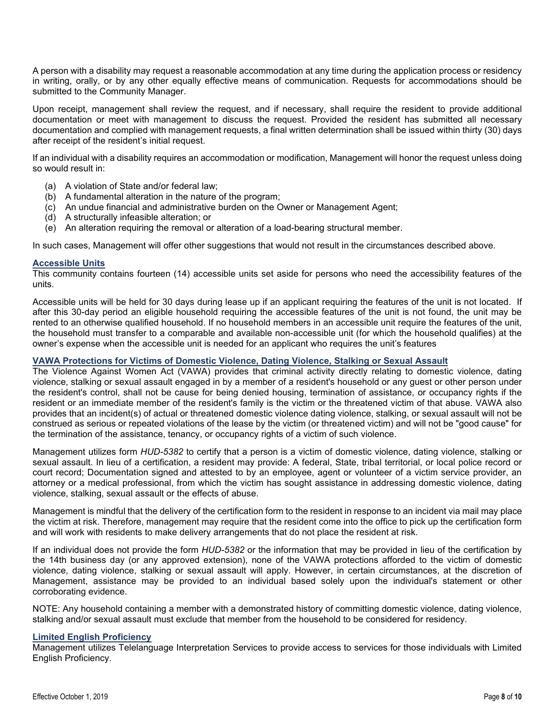A person with a disability may request a reasonable accommodation at any time during the application process or residency in writing, orally, or by any other equally effective means of communication. Requests for accommodations should be submitted to the Community Manager.

Upon receipt, management shall review the request, and if necessary, shall require the resident to provide additional documentation or meet with management to discuss the request. Provided the resident has submitted all necessary documentation and complied with management requests, a final written determination shall be issued within thirty (30) days after receipt of the resident's initial request.

If an individual with a disability requires an accommodation or modification, Management will honor the request unless doing so would result in:

- (a) A violation of State and/or federal law;
- (b) A fundamental alteration in the nature of the program;
- (c) An undue financial and administrative burden on the Owner or Management Agent;
- (d) A structurally infeasible alteration; or
- (e) An alteration requiring the removal or alteration of a load-bearing structural member.

In such cases, Management will offer other suggestions that would not result in the circumstances described above.

#### **Accessible Units**

This community contains fourteen (14) accessible units set aside for persons who need the accessibility features of the units.

Accessible units will be held for 30 days during lease up if an applicant requiring the features of the unit is not located. If after this 30-day period an eligible household requiring the accessible features of the unit is not found, the unit may be rented to an otherwise qualified household. If no household members in an accessible unit require the features of the unit, the household must transfer to a comparable and available non-accessible unit (for which the household qualifies) at the owner's expense when the accessible unit is needed for an applicant who requires the unit's features

#### **VAWA Protections for Victims of Domestic Violence, Dating Violence, Stalking or Sexual Assault**

The Violence Against Women Act (VAWA) provides that criminal activity directly relating to domestic violence, dating violence, stalking or sexual assault engaged in by a member of a resident's household or any guest or other person under the resident's control, shall not be cause for being denied housing, termination of assistance, or occupancy rights if the resident or an immediate member of the resident's family is the victim or the threatened victim of that abuse. VAWA also provides that an incident(s) of actual or threatened domestic violence dating violence, stalking, or sexual assault will not be construed as serious or repeated violations of the lease by the victim (or threatened victim) and will not be "good cause" for the termination of the assistance, tenancy, or occupancy rights of a victim of such violence.

Management utilizes form *HUD-5382* to certify that a person is a victim of domestic violence, dating violence, stalking or sexual assault. In lieu of a certification, a resident may provide: A federal, State, tribal territorial, or local police record or court record; Documentation signed and attested to by an employee, agent or volunteer of a victim service provider, an attorney or a medical professional, from which the victim has sought assistance in addressing domestic violence, dating violence, stalking, sexual assault or the effects of abuse.

Management is mindful that the delivery of the certification form to the resident in response to an incident via mail may place the victim at risk. Therefore, management may require that the resident come into the office to pick up the certification form and will work with residents to make delivery arrangements that do not place the resident at risk.

If an individual does not provide the form *HUD-5382* or the information that may be provided in lieu of the certification by the 14th business day (or any approved extension), none of the VAWA protections afforded to the victim of domestic violence, dating violence, stalking or sexual assault will apply. However, in certain circumstances, at the discretion of Management, assistance may be provided to an individual based solely upon the individual's statement or other corroborating evidence.

NOTE: Any household containing a member with a demonstrated history of committing domestic violence, dating violence, stalking and/or sexual assault must exclude that member from the household to be considered for residency.

#### **Limited English Proficiency**

Management utilizes Telelanguage Interpretation Services to provide access to services for those individuals with Limited English Proficiency.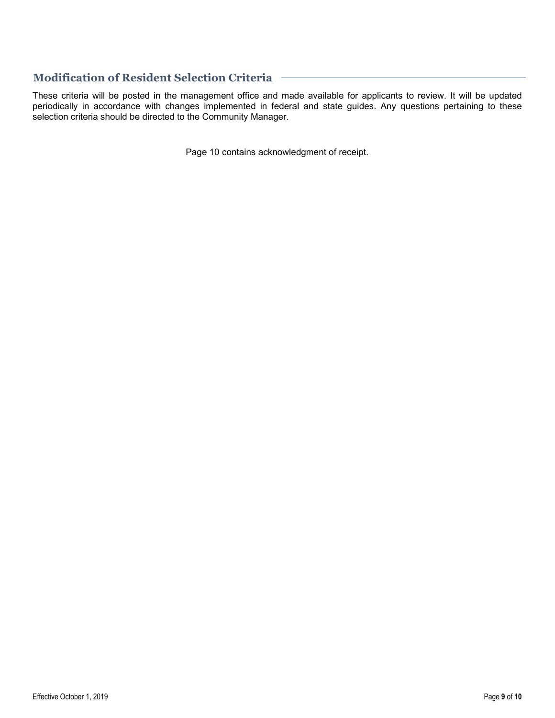# **Modification of Resident Selection Criteria**

These criteria will be posted in the management office and made available for applicants to review. It will be updated periodically in accordance with changes implemented in federal and state guides. Any questions pertaining to these selection criteria should be directed to the Community Manager.

Page 10 contains acknowledgment of receipt.